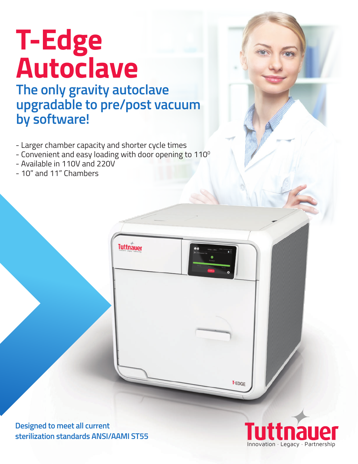## **T-Edge Autoclave**

**The only gravity autoclave upgradable to pre/post vacuum by software!**

- Larger chamber capacity and shorter cycle times
- Convenient and easy loading with door opening to 110<sup>°</sup>

**Tuttnauer** 

- Available in 110V and 220V
- 10" and 11" Chambers

**Designed to meet all current sterilization standards ANSI/AAMI ST55** 



**T-EDGE**